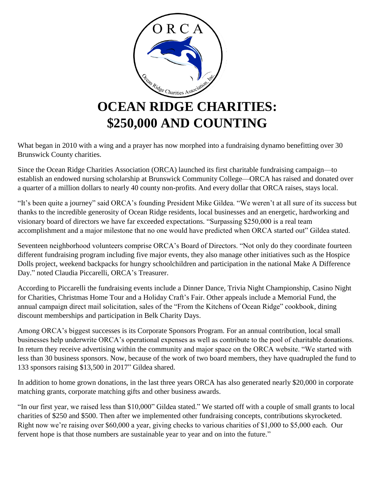

What began in 2010 with a wing and a prayer has now morphed into a fundraising dynamo benefitting over 30 Brunswick County charities.

Since the Ocean Ridge Charities Association (ORCA) launched its first charitable fundraising campaign—to establish an endowed nursing scholarship at Brunswick Community College—ORCA has raised and donated over a quarter of a million dollars to nearly 40 county non-profits. And every dollar that ORCA raises, stays local.

"It's been quite a journey" said ORCA's founding President Mike Gildea. "We weren't at all sure of its success but thanks to the incredible generosity of Ocean Ridge residents, local businesses and an energetic, hardworking and visionary board of directors we have far exceeded expectations. "Surpassing \$250,000 is a real team accomplishment and a major milestone that no one would have predicted when ORCA started out" Gildea stated.

Seventeen neighborhood volunteers comprise ORCA's Board of Directors. "Not only do they coordinate fourteen different fundraising program including five major events, they also manage other initiatives such as the Hospice Dolls project, weekend backpacks for hungry schoolchildren and participation in the national Make A Difference Day." noted Claudia Piccarelli, ORCA's Treasurer.

According to Piccarelli the fundraising events include a Dinner Dance, Trivia Night Championship, Casino Night for Charities, Christmas Home Tour and a Holiday Craft's Fair. Other appeals include a Memorial Fund, the annual campaign direct mail solicitation, sales of the "From the Kitchens of Ocean Ridge" cookbook, dining discount memberships and participation in Belk Charity Days.

Among ORCA's biggest successes is its Corporate Sponsors Program. For an annual contribution, local small businesses help underwrite ORCA's operational expenses as well as contribute to the pool of charitable donations. In return they receive advertising within the community and major space on the ORCA website. "We started with less than 30 business sponsors. Now, because of the work of two board members, they have quadrupled the fund to 133 sponsors raising \$13,500 in 2017" Gildea shared.

In addition to home grown donations, in the last three years ORCA has also generated nearly \$20,000 in corporate matching grants, corporate matching gifts and other business awards.

"In our first year, we raised less than \$10,000" Gildea stated." We started off with a couple of small grants to local charities of \$250 and \$500. Then after we implemented other fundraising concepts, contributions skyrocketed. Right now we're raising over \$60,000 a year, giving checks to various charities of \$1,000 to \$5,000 each. Our fervent hope is that those numbers are sustainable year to year and on into the future."